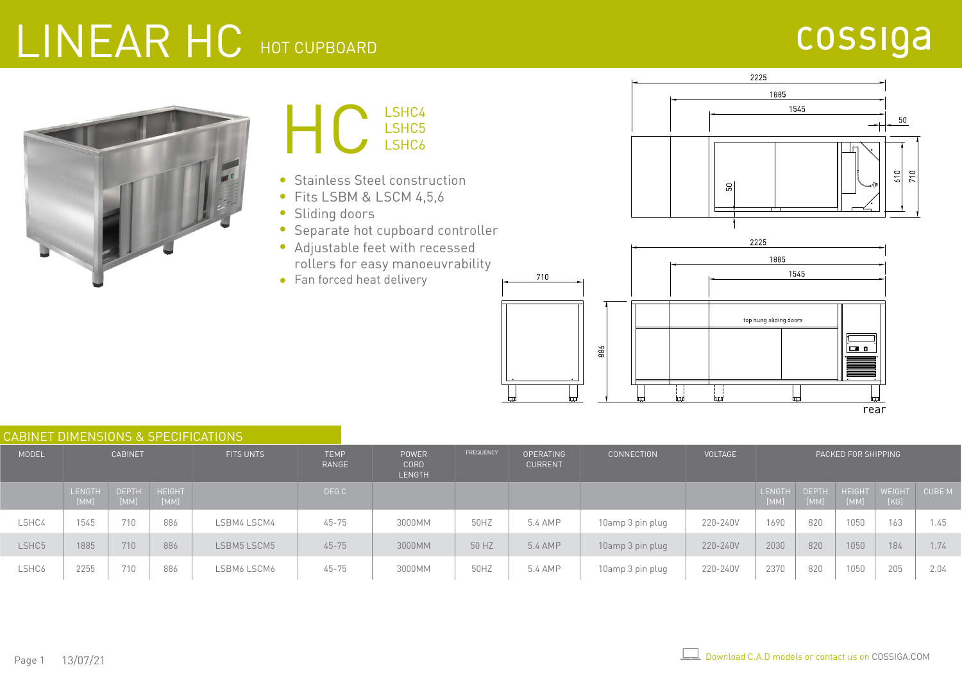#### LINEAR HC HOT CUPBOARD

#### cossiga





- Stainless Steel construction
- Fits LSBM & LSCM 4,5,6
- Sliding doors  $\bullet$
- Separate hot cupboard controller  $\bullet$
- Adjustable feet with recessed rollers for easy manoeuvrability
- Fan forced heat delivery





| <b>CABINET DIMENSIONS &amp; SPECIFICATIONS</b> |                       |                      |                       |                  |                      |                                              |                  |                                    |                   |          |                     |                      |                       |                       |        |
|------------------------------------------------|-----------------------|----------------------|-----------------------|------------------|----------------------|----------------------------------------------|------------------|------------------------------------|-------------------|----------|---------------------|----------------------|-----------------------|-----------------------|--------|
| MODEL                                          | <b>CABINET</b>        |                      |                       | <b>FITS UNTS</b> | <b>TEMP</b><br>RANGE | <b>POWER</b><br><b>CORD</b><br><b>LENGTH</b> | <b>FREQUENCY</b> | <b>OPERATING</b><br><b>CURRENT</b> | <b>CONNECTION</b> | VOLTAGE  | PACKED FOR SHIPPING |                      |                       |                       |        |
|                                                | <b>LENGTH</b><br>[MM] | <b>DEPTH</b><br>[MM] | <b>HEIGHT</b><br>[MM] |                  | DEG C                |                                              |                  |                                    |                   |          | LENGTH<br>[MM]      | <b>DEPTH</b><br>[MM] | <b>HEIGHT</b><br>[MM] | <b>WEIGHT</b><br>[KG] | CUBE M |
| LSHC4                                          | 1545                  | 710                  | 886                   | LSBM4 LSCM4      | $45 - 75$            | 3000MM                                       | 50HZ             | 5.4 AMP                            | 10amp 3 pin plug  | 220-240V | 1690                | 820                  | 1050                  | 163                   | 1.45   |
| LSHC5                                          | 1885                  | 710                  | 886                   | LSBM5 LSCM5      | $45 - 75$            | 3000MM                                       | 50 HZ            | 5.4 AMP                            | 10amp 3 pin plug  | 220-240V | 2030                | 820                  | 1050                  | 184                   | 1.74   |
| LSHC6                                          | 2255                  | 710                  | 886                   | LSBM6 LSCM6      | $45 - 75$            | 3000MM                                       | 50HZ             | 5.4 AMP                            | 10amp 3 pin plug  | 220-240V | 2370                | 820                  | 1050                  | 205                   | 2.04   |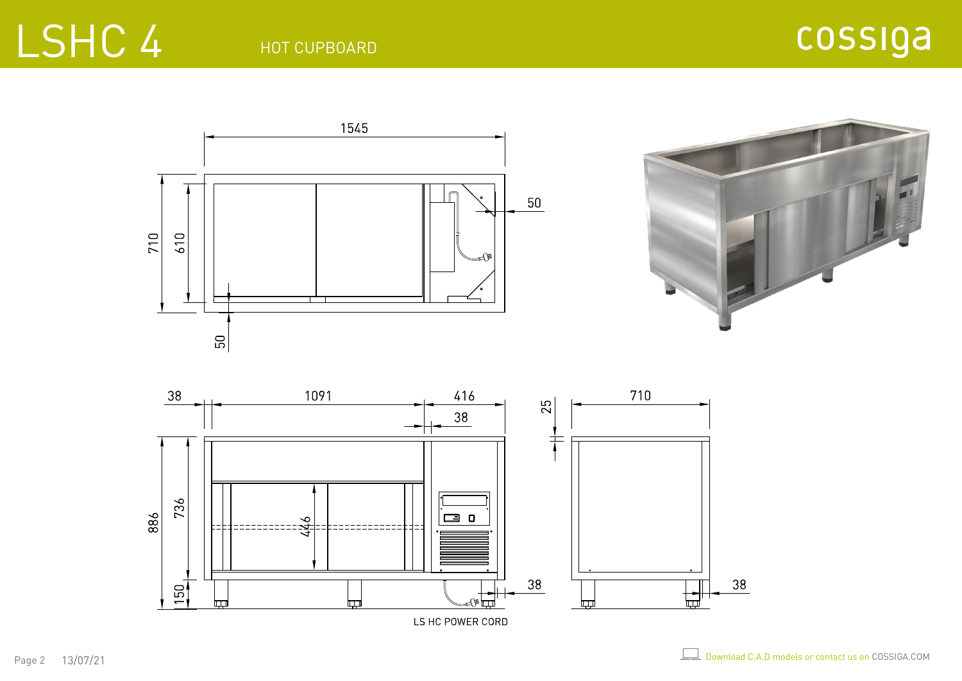#### HOT CUPBOARD



LS HC POWER CORD

LSHC 4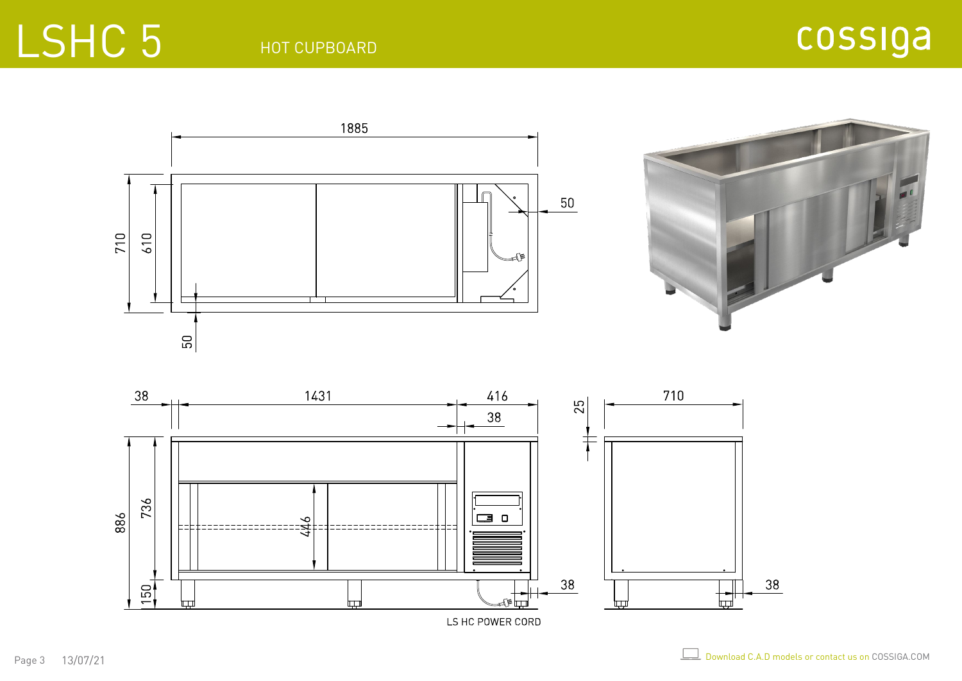## LSHC 5

HOT CUPBOARD





LS HC POWER CORD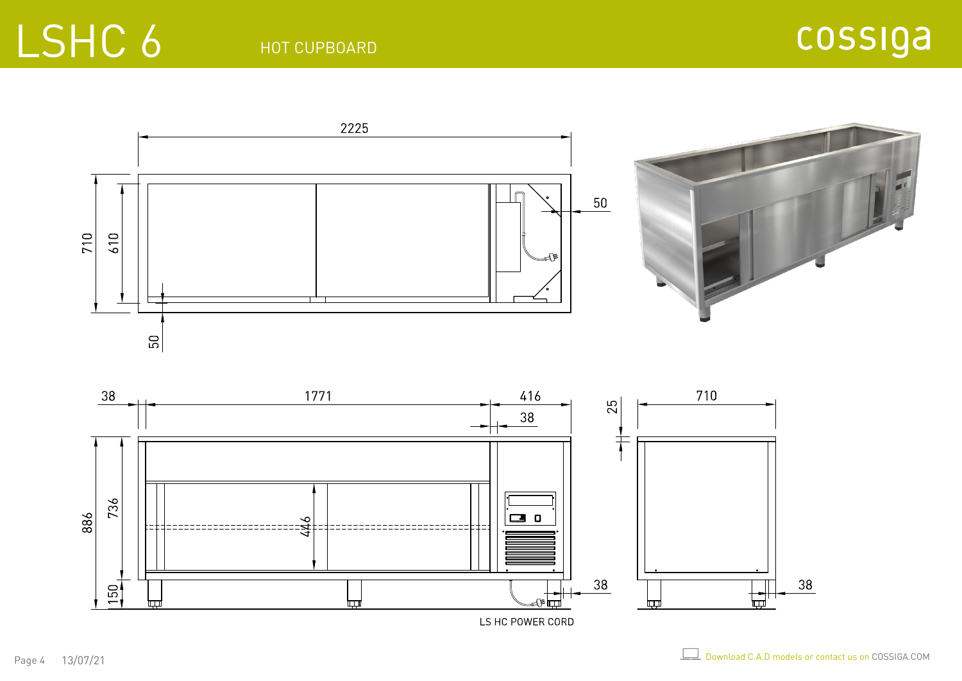## LSHC 6



LS HC POWER CORD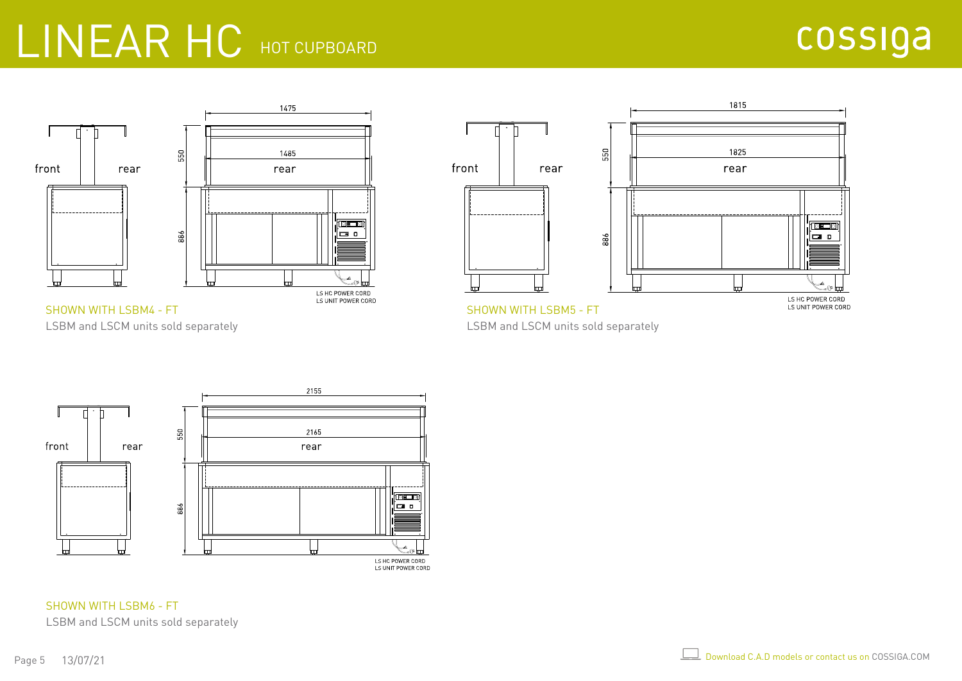#### LINEAR HC HOT CUPBOARD





LSBM and LSCM units sold separately



LSBM and LSCM units sold separately



SHOWN WITH LSBM6 - FT LSBM and LSCM units sold separately